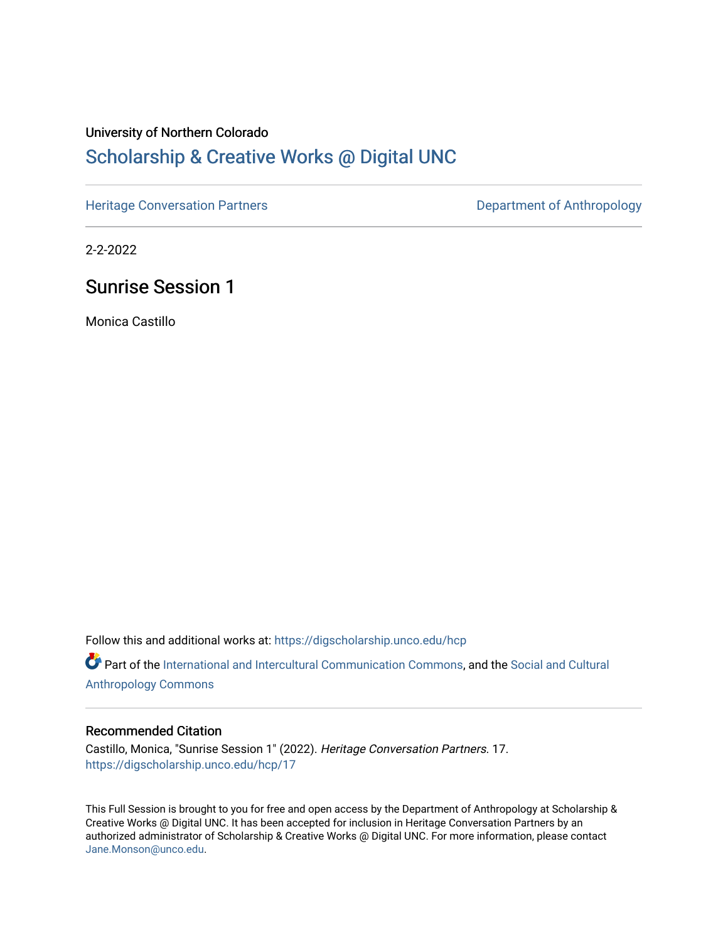# University of Northern Colorado [Scholarship & Creative Works @ Digital UNC](https://digscholarship.unco.edu/)

[Heritage Conversation Partners](https://digscholarship.unco.edu/hcp) **Department of Anthropology** 

2-2-2022

## Sunrise Session 1

Monica Castillo

Follow this and additional works at: [https://digscholarship.unco.edu/hcp](https://digscholarship.unco.edu/hcp?utm_source=digscholarship.unco.edu%2Fhcp%2F17&utm_medium=PDF&utm_campaign=PDFCoverPages) 

Part of the [International and Intercultural Communication Commons,](http://network.bepress.com/hgg/discipline/331?utm_source=digscholarship.unco.edu%2Fhcp%2F17&utm_medium=PDF&utm_campaign=PDFCoverPages) and the Social and Cultural [Anthropology Commons](http://network.bepress.com/hgg/discipline/323?utm_source=digscholarship.unco.edu%2Fhcp%2F17&utm_medium=PDF&utm_campaign=PDFCoverPages)

#### Recommended Citation

Castillo, Monica, "Sunrise Session 1" (2022). Heritage Conversation Partners. 17. [https://digscholarship.unco.edu/hcp/17](https://digscholarship.unco.edu/hcp/17?utm_source=digscholarship.unco.edu%2Fhcp%2F17&utm_medium=PDF&utm_campaign=PDFCoverPages) 

This Full Session is brought to you for free and open access by the Department of Anthropology at Scholarship & Creative Works @ Digital UNC. It has been accepted for inclusion in Heritage Conversation Partners by an authorized administrator of Scholarship & Creative Works @ Digital UNC. For more information, please contact [Jane.Monson@unco.edu.](mailto:Jane.Monson@unco.edu)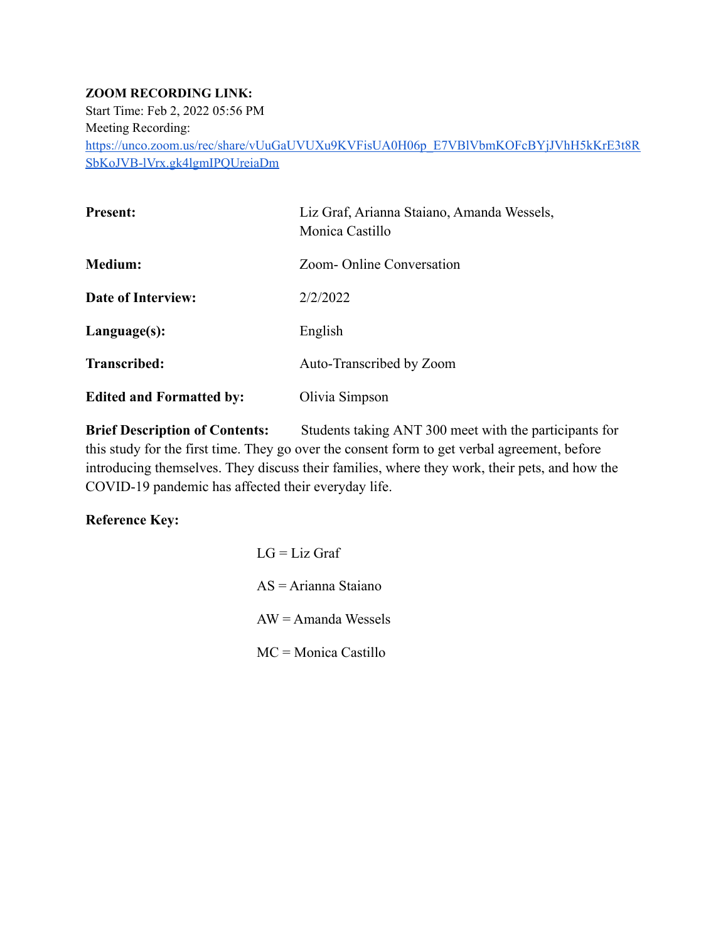#### **ZOOM RECORDING LINK:**

Start Time: Feb 2, 2022 05:56 PM Meeting Recording: [https://unco.zoom.us/rec/share/vUuGaUVUXu9KVFisUA0H06p\\_E7VBlVbmKOFcBYjJVhH5kKrE3t8R](https://unco.zoom.us/rec/share/vUuGaUVUXu9KVFisUA0H06p_E7VBlVbmKOFcBYjJVhH5kKrE3t8RSbKoJVB-lVrx.gk4lgmIPQUreiaDm) [SbKoJVB-lVrx.gk4lgmIPQUreiaDm](https://unco.zoom.us/rec/share/vUuGaUVUXu9KVFisUA0H06p_E7VBlVbmKOFcBYjJVhH5kKrE3t8RSbKoJVB-lVrx.gk4lgmIPQUreiaDm)

| <b>Present:</b>                 | Liz Graf, Arianna Staiano, Amanda Wessels,<br>Monica Castillo |
|---------------------------------|---------------------------------------------------------------|
| <b>Medium:</b>                  | Zoom-Online Conversation                                      |
| Date of Interview:              | 2/2/2022                                                      |
| $L$ anguage $(s)$ :             | English                                                       |
| Transcribed:                    | Auto-Transcribed by Zoom                                      |
| <b>Edited and Formatted by:</b> | Olivia Simpson                                                |

**Brief Description of Contents:** Students taking ANT 300 meet with the participants for this study for the first time. They go over the consent form to get verbal agreement, before introducing themselves. They discuss their families, where they work, their pets, and how the COVID-19 pandemic has affected their everyday life.

#### **Reference Key:**

 $LG = Liz$  Graf AS = Arianna Staiano  $AW = A$ manda Wessels MC = Monica Castillo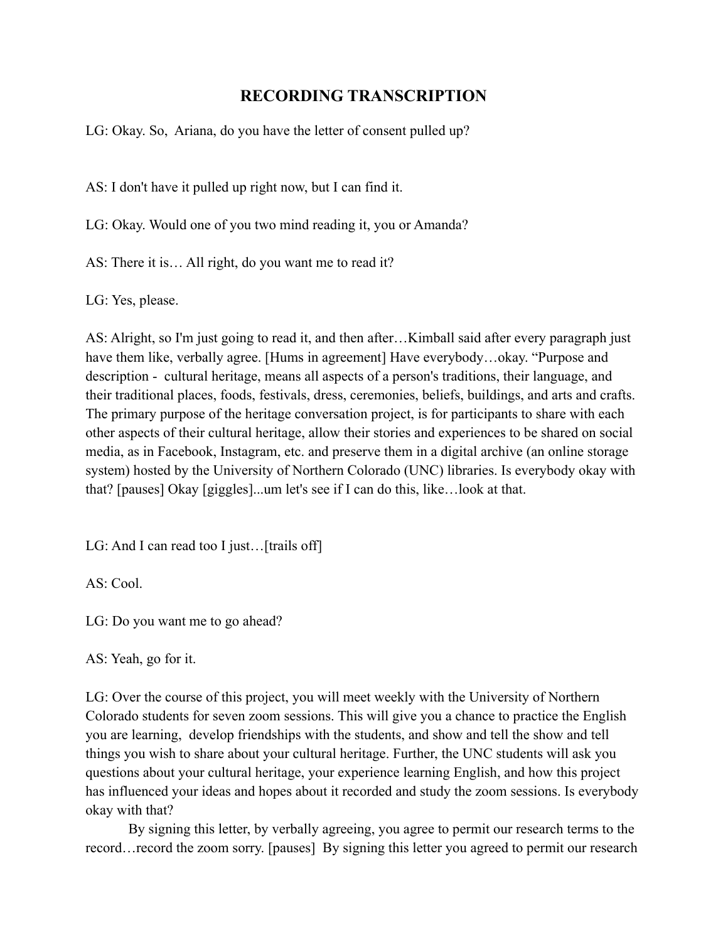## **RECORDING TRANSCRIPTION**

LG: Okay. So, Ariana, do you have the letter of consent pulled up?

AS: I don't have it pulled up right now, but I can find it.

LG: Okay. Would one of you two mind reading it, you or Amanda?

AS: There it is… All right, do you want me to read it?

LG: Yes, please.

AS: Alright, so I'm just going to read it, and then after…Kimball said after every paragraph just have them like, verbally agree. [Hums in agreement] Have everybody...okay. "Purpose and description - cultural heritage, means all aspects of a person's traditions, their language, and their traditional places, foods, festivals, dress, ceremonies, beliefs, buildings, and arts and crafts. The primary purpose of the heritage conversation project, is for participants to share with each other aspects of their cultural heritage, allow their stories and experiences to be shared on social media, as in Facebook, Instagram, etc. and preserve them in a digital archive (an online storage system) hosted by the University of Northern Colorado (UNC) libraries. Is everybody okay with that? [pauses] Okay [giggles]...um let's see if I can do this, like…look at that.

LG: And I can read too I just... [trails off]

AS: Cool.

LG: Do you want me to go ahead?

AS: Yeah, go for it.

LG: Over the course of this project, you will meet weekly with the University of Northern Colorado students for seven zoom sessions. This will give you a chance to practice the English you are learning, develop friendships with the students, and show and tell the show and tell things you wish to share about your cultural heritage. Further, the UNC students will ask you questions about your cultural heritage, your experience learning English, and how this project has influenced your ideas and hopes about it recorded and study the zoom sessions. Is everybody okay with that?

By signing this letter, by verbally agreeing, you agree to permit our research terms to the record…record the zoom sorry. [pauses] By signing this letter you agreed to permit our research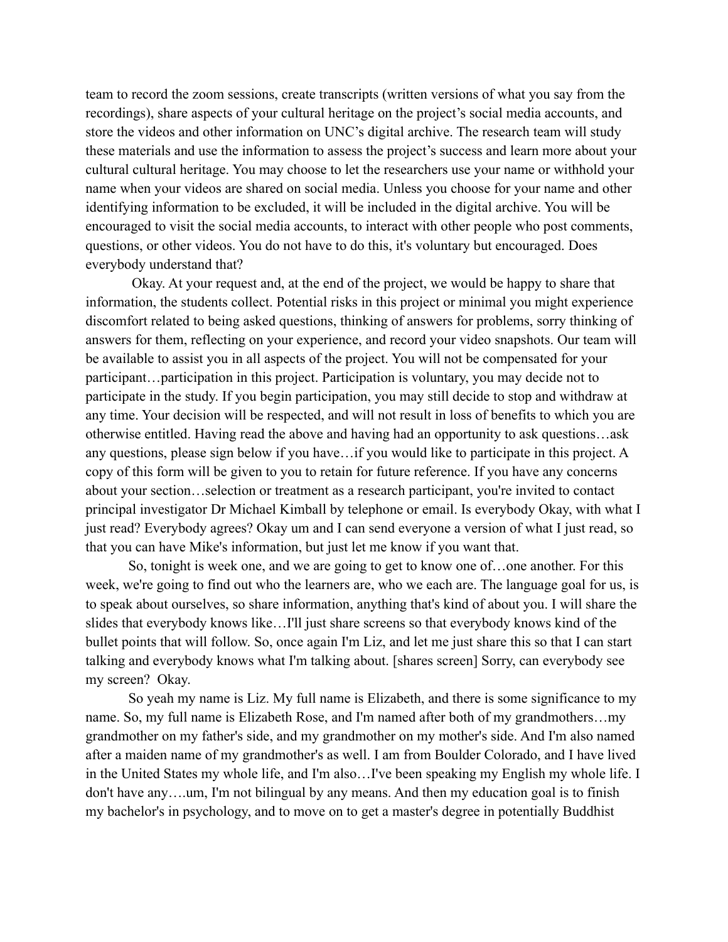team to record the zoom sessions, create transcripts (written versions of what you say from the recordings), share aspects of your cultural heritage on the project's social media accounts, and store the videos and other information on UNC's digital archive. The research team will study these materials and use the information to assess the project's success and learn more about your cultural cultural heritage. You may choose to let the researchers use your name or withhold your name when your videos are shared on social media. Unless you choose for your name and other identifying information to be excluded, it will be included in the digital archive. You will be encouraged to visit the social media accounts, to interact with other people who post comments, questions, or other videos. You do not have to do this, it's voluntary but encouraged. Does everybody understand that?

Okay. At your request and, at the end of the project, we would be happy to share that information, the students collect. Potential risks in this project or minimal you might experience discomfort related to being asked questions, thinking of answers for problems, sorry thinking of answers for them, reflecting on your experience, and record your video snapshots. Our team will be available to assist you in all aspects of the project. You will not be compensated for your participant…participation in this project. Participation is voluntary, you may decide not to participate in the study. If you begin participation, you may still decide to stop and withdraw at any time. Your decision will be respected, and will not result in loss of benefits to which you are otherwise entitled. Having read the above and having had an opportunity to ask questions…ask any questions, please sign below if you have…if you would like to participate in this project. A copy of this form will be given to you to retain for future reference. If you have any concerns about your section…selection or treatment as a research participant, you're invited to contact principal investigator Dr Michael Kimball by telephone or email. Is everybody Okay, with what I just read? Everybody agrees? Okay um and I can send everyone a version of what I just read, so that you can have Mike's information, but just let me know if you want that.

So, tonight is week one, and we are going to get to know one of…one another. For this week, we're going to find out who the learners are, who we each are. The language goal for us, is to speak about ourselves, so share information, anything that's kind of about you. I will share the slides that everybody knows like…I'll just share screens so that everybody knows kind of the bullet points that will follow. So, once again I'm Liz, and let me just share this so that I can start talking and everybody knows what I'm talking about. [shares screen] Sorry, can everybody see my screen? Okay.

So yeah my name is Liz. My full name is Elizabeth, and there is some significance to my name. So, my full name is Elizabeth Rose, and I'm named after both of my grandmothers…my grandmother on my father's side, and my grandmother on my mother's side. And I'm also named after a maiden name of my grandmother's as well. I am from Boulder Colorado, and I have lived in the United States my whole life, and I'm also…I've been speaking my English my whole life. I don't have any….um, I'm not bilingual by any means. And then my education goal is to finish my bachelor's in psychology, and to move on to get a master's degree in potentially Buddhist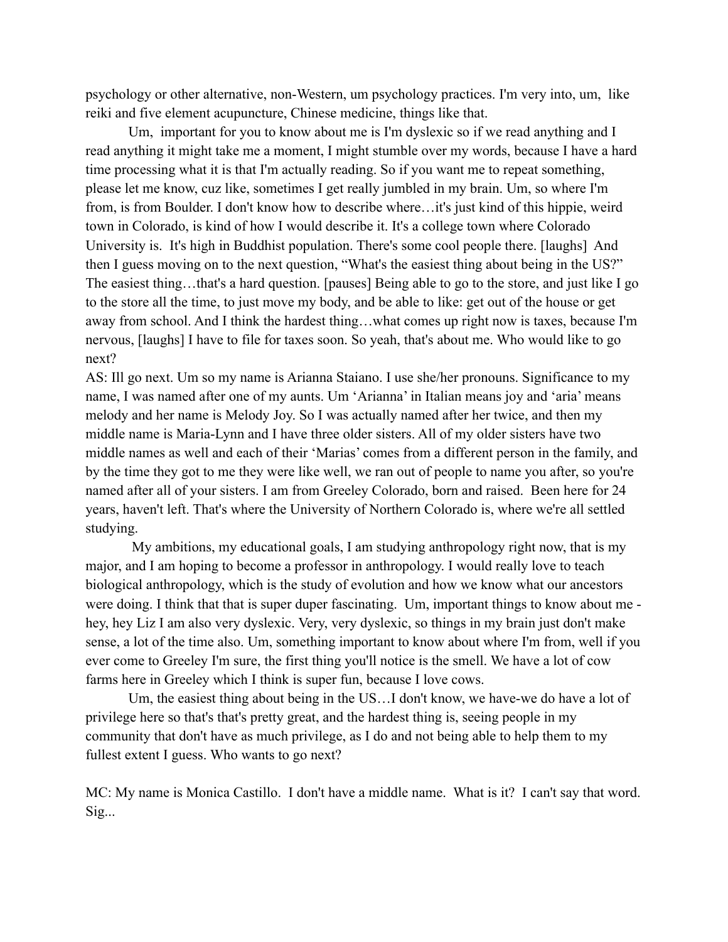psychology or other alternative, non-Western, um psychology practices. I'm very into, um, like reiki and five element acupuncture, Chinese medicine, things like that.

Um, important for you to know about me is I'm dyslexic so if we read anything and I read anything it might take me a moment, I might stumble over my words, because I have a hard time processing what it is that I'm actually reading. So if you want me to repeat something, please let me know, cuz like, sometimes I get really jumbled in my brain. Um, so where I'm from, is from Boulder. I don't know how to describe where…it's just kind of this hippie, weird town in Colorado, is kind of how I would describe it. It's a college town where Colorado University is. It's high in Buddhist population. There's some cool people there. [laughs] And then I guess moving on to the next question, "What's the easiest thing about being in the US?" The easiest thing…that's a hard question. [pauses] Being able to go to the store, and just like I go to the store all the time, to just move my body, and be able to like: get out of the house or get away from school. And I think the hardest thing…what comes up right now is taxes, because I'm nervous, [laughs] I have to file for taxes soon. So yeah, that's about me. Who would like to go next?

AS: Ill go next. Um so my name is Arianna Staiano. I use she/her pronouns. Significance to my name, I was named after one of my aunts. Um 'Arianna' in Italian means joy and 'aria' means melody and her name is Melody Joy. So I was actually named after her twice, and then my middle name is Maria-Lynn and I have three older sisters. All of my older sisters have two middle names as well and each of their 'Marias' comes from a different person in the family, and by the time they got to me they were like well, we ran out of people to name you after, so you're named after all of your sisters. I am from Greeley Colorado, born and raised. Been here for 24 years, haven't left. That's where the University of Northern Colorado is, where we're all settled studying.

My ambitions, my educational goals, I am studying anthropology right now, that is my major, and I am hoping to become a professor in anthropology. I would really love to teach biological anthropology, which is the study of evolution and how we know what our ancestors were doing. I think that that is super duper fascinating. Um, important things to know about me hey, hey Liz I am also very dyslexic. Very, very dyslexic, so things in my brain just don't make sense, a lot of the time also. Um, something important to know about where I'm from, well if you ever come to Greeley I'm sure, the first thing you'll notice is the smell. We have a lot of cow farms here in Greeley which I think is super fun, because I love cows.

Um, the easiest thing about being in the US…I don't know, we have-we do have a lot of privilege here so that's that's pretty great, and the hardest thing is, seeing people in my community that don't have as much privilege, as I do and not being able to help them to my fullest extent I guess. Who wants to go next?

MC: My name is Monica Castillo. I don't have a middle name. What is it? I can't say that word. Sig...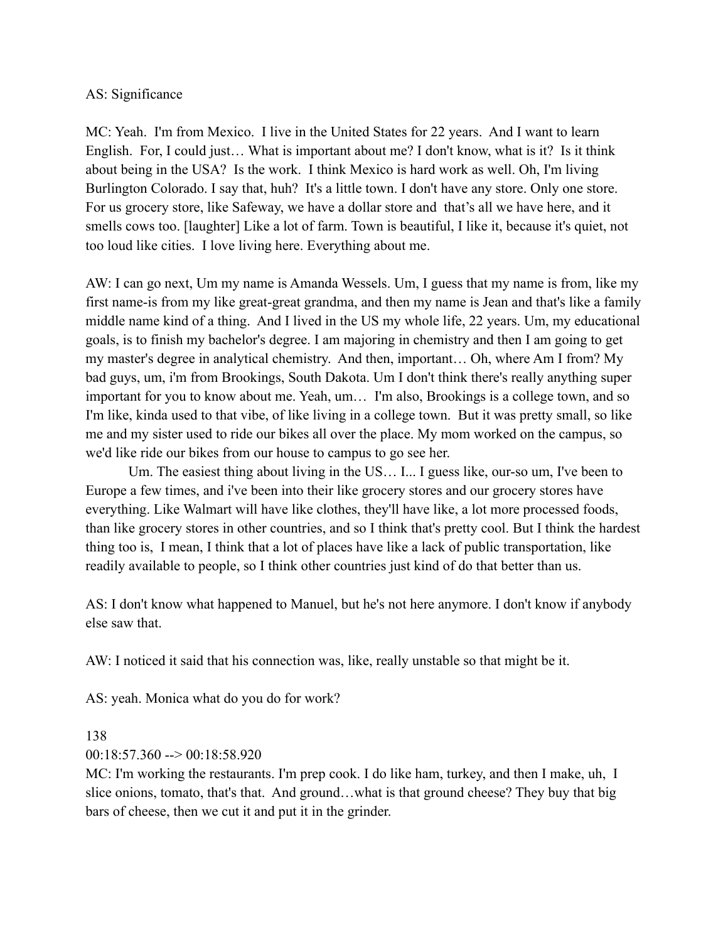#### AS: Significance

MC: Yeah. I'm from Mexico. I live in the United States for 22 years. And I want to learn English. For, I could just... What is important about me? I don't know, what is it? Is it think about being in the USA? Is the work. I think Mexico is hard work as well. Oh, I'm living Burlington Colorado. I say that, huh? It's a little town. I don't have any store. Only one store. For us grocery store, like Safeway, we have a dollar store and that's all we have here, and it smells cows too. [laughter] Like a lot of farm. Town is beautiful, I like it, because it's quiet, not too loud like cities. I love living here. Everything about me.

AW: I can go next, Um my name is Amanda Wessels. Um, I guess that my name is from, like my first name-is from my like great-great grandma, and then my name is Jean and that's like a family middle name kind of a thing. And I lived in the US my whole life, 22 years. Um, my educational goals, is to finish my bachelor's degree. I am majoring in chemistry and then I am going to get my master's degree in analytical chemistry. And then, important… Oh, where Am I from? My bad guys, um, i'm from Brookings, South Dakota. Um I don't think there's really anything super important for you to know about me. Yeah, um… I'm also, Brookings is a college town, and so I'm like, kinda used to that vibe, of like living in a college town. But it was pretty small, so like me and my sister used to ride our bikes all over the place. My mom worked on the campus, so we'd like ride our bikes from our house to campus to go see her.

Um. The easiest thing about living in the US... I... I guess like, our-so um, I've been to Europe a few times, and i've been into their like grocery stores and our grocery stores have everything. Like Walmart will have like clothes, they'll have like, a lot more processed foods, than like grocery stores in other countries, and so I think that's pretty cool. But I think the hardest thing too is, I mean, I think that a lot of places have like a lack of public transportation, like readily available to people, so I think other countries just kind of do that better than us.

AS: I don't know what happened to Manuel, but he's not here anymore. I don't know if anybody else saw that.

AW: I noticed it said that his connection was, like, really unstable so that might be it.

AS: yeah. Monica what do you do for work?

138

 $00:18:57.360 \rightarrow 00:18:58.920$ 

MC: I'm working the restaurants. I'm prep cook. I do like ham, turkey, and then I make, uh, I slice onions, tomato, that's that. And ground…what is that ground cheese? They buy that big bars of cheese, then we cut it and put it in the grinder.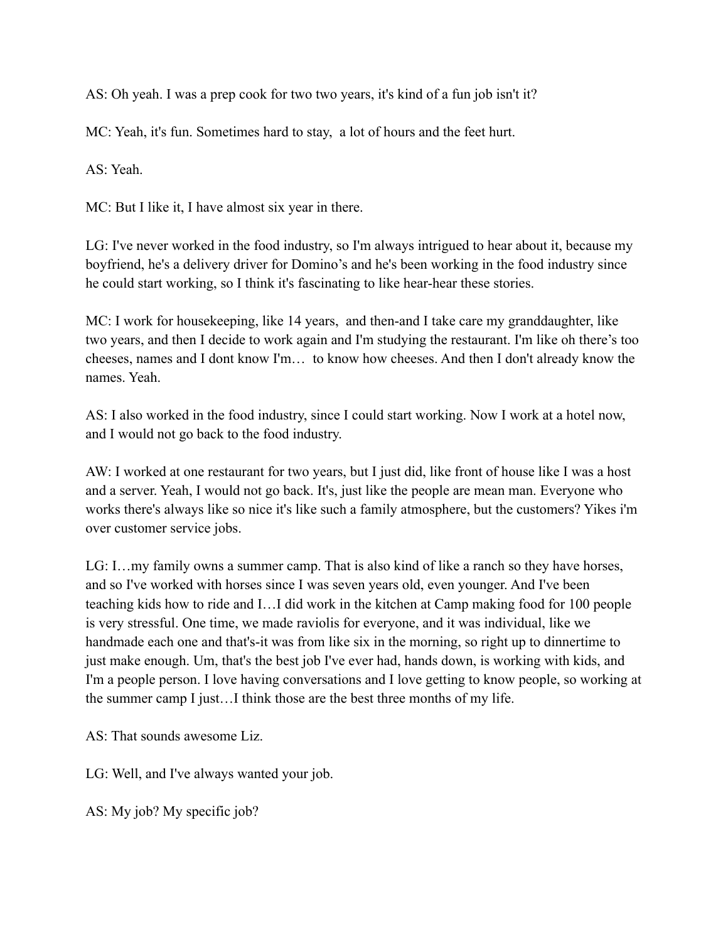AS: Oh yeah. I was a prep cook for two two years, it's kind of a fun job isn't it?

MC: Yeah, it's fun. Sometimes hard to stay, a lot of hours and the feet hurt.

AS: Yeah.

MC: But I like it, I have almost six year in there.

LG: I've never worked in the food industry, so I'm always intrigued to hear about it, because my boyfriend, he's a delivery driver for Domino's and he's been working in the food industry since he could start working, so I think it's fascinating to like hear-hear these stories.

MC: I work for housekeeping, like 14 years, and then-and I take care my granddaughter, like two years, and then I decide to work again and I'm studying the restaurant. I'm like oh there's too cheeses, names and I dont know I'm… to know how cheeses. And then I don't already know the names. Yeah.

AS: I also worked in the food industry, since I could start working. Now I work at a hotel now, and I would not go back to the food industry.

AW: I worked at one restaurant for two years, but I just did, like front of house like I was a host and a server. Yeah, I would not go back. It's, just like the people are mean man. Everyone who works there's always like so nice it's like such a family atmosphere, but the customers? Yikes i'm over customer service jobs.

LG: I…my family owns a summer camp. That is also kind of like a ranch so they have horses, and so I've worked with horses since I was seven years old, even younger. And I've been teaching kids how to ride and I…I did work in the kitchen at Camp making food for 100 people is very stressful. One time, we made raviolis for everyone, and it was individual, like we handmade each one and that's-it was from like six in the morning, so right up to dinnertime to just make enough. Um, that's the best job I've ever had, hands down, is working with kids, and I'm a people person. I love having conversations and I love getting to know people, so working at the summer camp I just…I think those are the best three months of my life.

AS: That sounds awesome Liz.

LG: Well, and I've always wanted your job.

AS: My job? My specific job?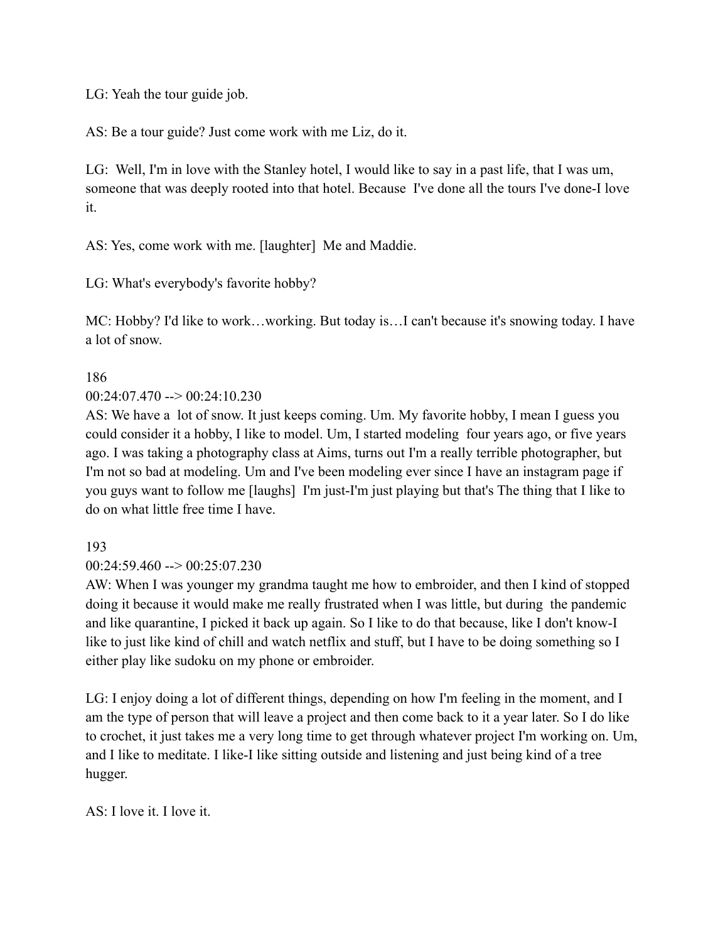LG: Yeah the tour guide job.

AS: Be a tour guide? Just come work with me Liz, do it.

LG: Well, I'm in love with the Stanley hotel, I would like to say in a past life, that I was um, someone that was deeply rooted into that hotel. Because I've done all the tours I've done-I love it.

AS: Yes, come work with me. [laughter] Me and Maddie.

LG: What's everybody's favorite hobby?

MC: Hobby? I'd like to work…working. But today is…I can't because it's snowing today. I have a lot of snow.

186

 $00:24:07.470 \rightarrow 00:24:10.230$ 

AS: We have a lot of snow. It just keeps coming. Um. My favorite hobby, I mean I guess you could consider it a hobby, I like to model. Um, I started modeling four years ago, or five years ago. I was taking a photography class at Aims, turns out I'm a really terrible photographer, but I'm not so bad at modeling. Um and I've been modeling ever since I have an instagram page if you guys want to follow me [laughs] I'm just-I'm just playing but that's The thing that I like to do on what little free time I have.

193

 $00:24:59.460 \rightarrow 00:25:07.230$ 

AW: When I was younger my grandma taught me how to embroider, and then I kind of stopped doing it because it would make me really frustrated when I was little, but during the pandemic and like quarantine, I picked it back up again. So I like to do that because, like I don't know-I like to just like kind of chill and watch netflix and stuff, but I have to be doing something so I either play like sudoku on my phone or embroider.

LG: I enjoy doing a lot of different things, depending on how I'm feeling in the moment, and I am the type of person that will leave a project and then come back to it a year later. So I do like to crochet, it just takes me a very long time to get through whatever project I'm working on. Um, and I like to meditate. I like-I like sitting outside and listening and just being kind of a tree hugger.

AS: I love it. I love it.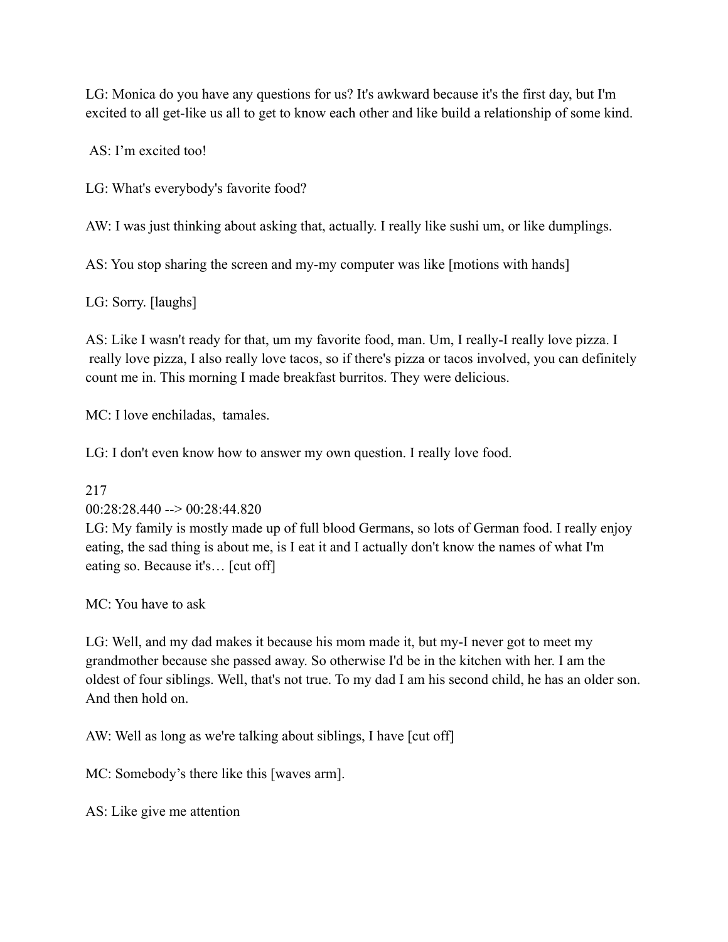LG: Monica do you have any questions for us? It's awkward because it's the first day, but I'm excited to all get-like us all to get to know each other and like build a relationship of some kind.

AS: I'm excited too!

LG: What's everybody's favorite food?

AW: I was just thinking about asking that, actually. I really like sushi um, or like dumplings.

AS: You stop sharing the screen and my-my computer was like [motions with hands]

LG: Sorry. [laughs]

AS: Like I wasn't ready for that, um my favorite food, man. Um, I really-I really love pizza. I really love pizza, I also really love tacos, so if there's pizza or tacos involved, you can definitely count me in. This morning I made breakfast burritos. They were delicious.

MC: I love enchiladas, tamales.

LG: I don't even know how to answer my own question. I really love food.

#### 217

#### $00:28:28.440 \rightarrow 00:28:44.820$

LG: My family is mostly made up of full blood Germans, so lots of German food. I really enjoy eating, the sad thing is about me, is I eat it and I actually don't know the names of what I'm eating so. Because it's… [cut off]

MC: You have to ask

LG: Well, and my dad makes it because his mom made it, but my-I never got to meet my grandmother because she passed away. So otherwise I'd be in the kitchen with her. I am the oldest of four siblings. Well, that's not true. To my dad I am his second child, he has an older son. And then hold on.

AW: Well as long as we're talking about siblings, I have [cut off]

MC: Somebody's there like this [waves arm].

AS: Like give me attention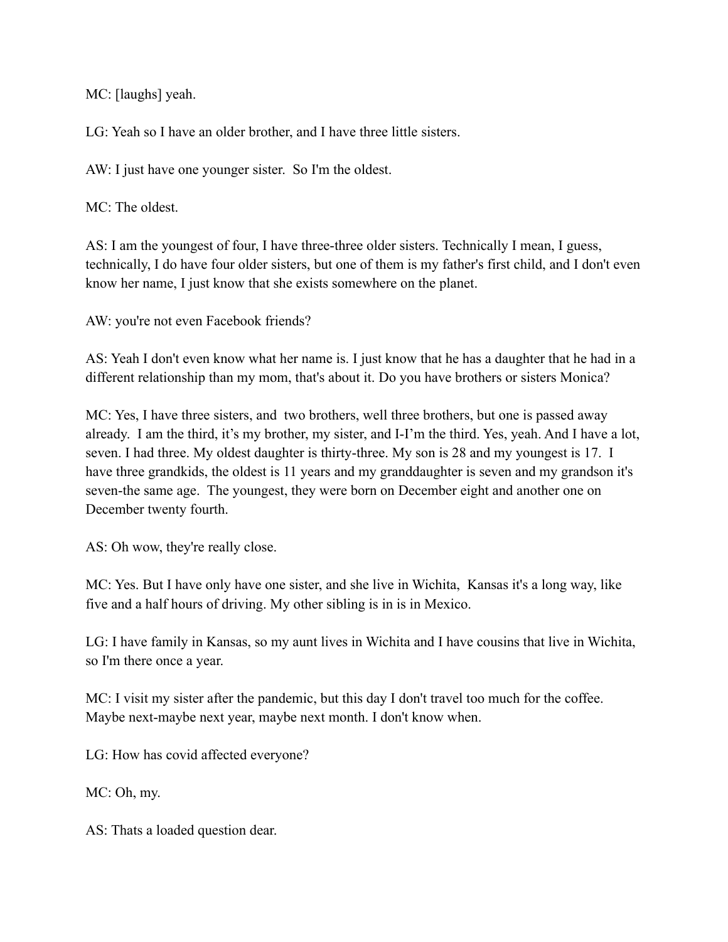MC: [laughs] yeah.

LG: Yeah so I have an older brother, and I have three little sisters.

AW: I just have one younger sister. So I'm the oldest.

MC<sup> $\cdot$ </sup> The oldest.

AS: I am the youngest of four, I have three-three older sisters. Technically I mean, I guess, technically, I do have four older sisters, but one of them is my father's first child, and I don't even know her name, I just know that she exists somewhere on the planet.

AW: you're not even Facebook friends?

AS: Yeah I don't even know what her name is. I just know that he has a daughter that he had in a different relationship than my mom, that's about it. Do you have brothers or sisters Monica?

MC: Yes, I have three sisters, and two brothers, well three brothers, but one is passed away already. I am the third, it's my brother, my sister, and I-I'm the third. Yes, yeah. And I have a lot, seven. I had three. My oldest daughter is thirty-three. My son is 28 and my youngest is 17. I have three grandkids, the oldest is 11 years and my granddaughter is seven and my grandson it's seven-the same age. The youngest, they were born on December eight and another one on December twenty fourth.

AS: Oh wow, they're really close.

MC: Yes. But I have only have one sister, and she live in Wichita, Kansas it's a long way, like five and a half hours of driving. My other sibling is in is in Mexico.

LG: I have family in Kansas, so my aunt lives in Wichita and I have cousins that live in Wichita, so I'm there once a year.

MC: I visit my sister after the pandemic, but this day I don't travel too much for the coffee. Maybe next-maybe next year, maybe next month. I don't know when.

LG: How has covid affected everyone?

MC: Oh, my.

AS: Thats a loaded question dear.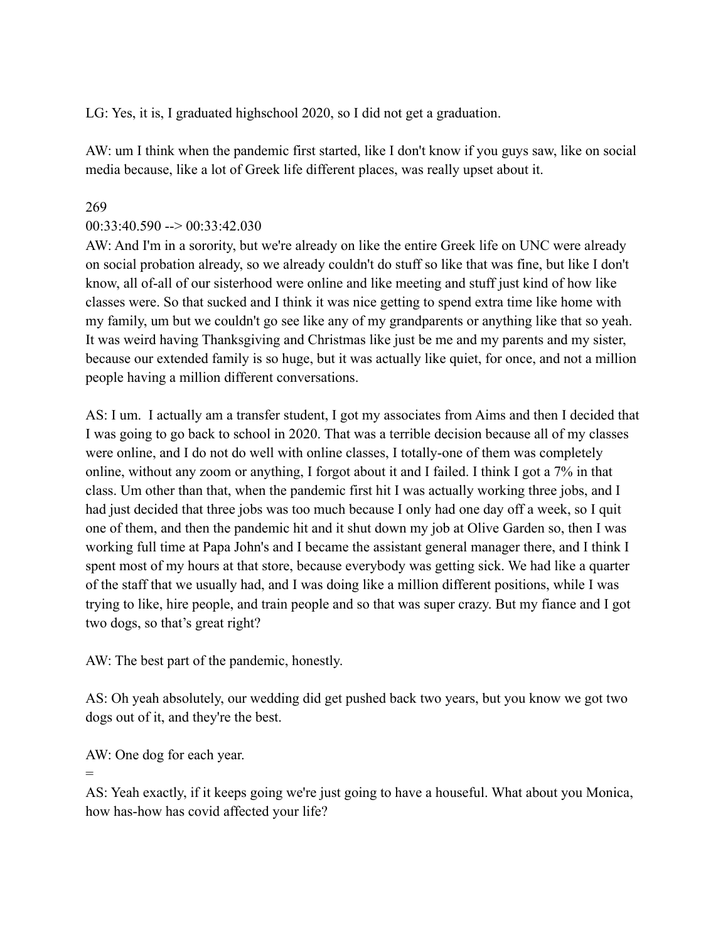LG: Yes, it is, I graduated highschool 2020, so I did not get a graduation.

AW: um I think when the pandemic first started, like I don't know if you guys saw, like on social media because, like a lot of Greek life different places, was really upset about it.

### 269

### $00:33:40.590 \rightarrow 00:33:42.030$

AW: And I'm in a sorority, but we're already on like the entire Greek life on UNC were already on social probation already, so we already couldn't do stuff so like that was fine, but like I don't know, all of-all of our sisterhood were online and like meeting and stuff just kind of how like classes were. So that sucked and I think it was nice getting to spend extra time like home with my family, um but we couldn't go see like any of my grandparents or anything like that so yeah. It was weird having Thanksgiving and Christmas like just be me and my parents and my sister, because our extended family is so huge, but it was actually like quiet, for once, and not a million people having a million different conversations.

AS: I um. I actually am a transfer student, I got my associates from Aims and then I decided that I was going to go back to school in 2020. That was a terrible decision because all of my classes were online, and I do not do well with online classes, I totally-one of them was completely online, without any zoom or anything, I forgot about it and I failed. I think I got a 7% in that class. Um other than that, when the pandemic first hit I was actually working three jobs, and I had just decided that three jobs was too much because I only had one day off a week, so I quit one of them, and then the pandemic hit and it shut down my job at Olive Garden so, then I was working full time at Papa John's and I became the assistant general manager there, and I think I spent most of my hours at that store, because everybody was getting sick. We had like a quarter of the staff that we usually had, and I was doing like a million different positions, while I was trying to like, hire people, and train people and so that was super crazy. But my fiance and I got two dogs, so that's great right?

AW: The best part of the pandemic, honestly.

AS: Oh yeah absolutely, our wedding did get pushed back two years, but you know we got two dogs out of it, and they're the best.

AW: One dog for each year.

=

AS: Yeah exactly, if it keeps going we're just going to have a houseful. What about you Monica, how has-how has covid affected your life?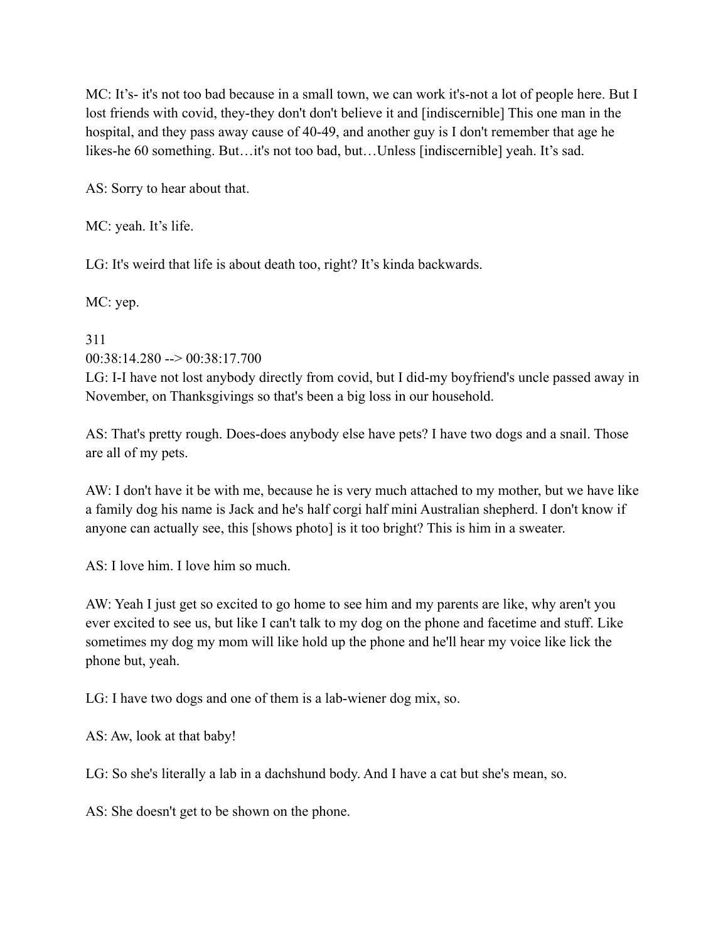MC: It's- it's not too bad because in a small town, we can work it's-not a lot of people here. But I lost friends with covid, they-they don't don't believe it and [indiscernible] This one man in the hospital, and they pass away cause of 40-49, and another guy is I don't remember that age he likes-he 60 something. But…it's not too bad, but…Unless [indiscernible] yeah. It's sad.

AS: Sorry to hear about that.

MC: yeah. It's life.

LG: It's weird that life is about death too, right? It's kinda backwards.

MC: yep.

311

 $00:38:14.280 \rightarrow 00:38:17.700$ 

LG: I-I have not lost anybody directly from covid, but I did-my boyfriend's uncle passed away in November, on Thanksgivings so that's been a big loss in our household.

AS: That's pretty rough. Does-does anybody else have pets? I have two dogs and a snail. Those are all of my pets.

AW: I don't have it be with me, because he is very much attached to my mother, but we have like a family dog his name is Jack and he's half corgi half mini Australian shepherd. I don't know if anyone can actually see, this [shows photo] is it too bright? This is him in a sweater.

AS: I love him. I love him so much.

AW: Yeah I just get so excited to go home to see him and my parents are like, why aren't you ever excited to see us, but like I can't talk to my dog on the phone and facetime and stuff. Like sometimes my dog my mom will like hold up the phone and he'll hear my voice like lick the phone but, yeah.

LG: I have two dogs and one of them is a lab-wiener dog mix, so.

AS: Aw, look at that baby!

LG: So she's literally a lab in a dachshund body. And I have a cat but she's mean, so.

AS: She doesn't get to be shown on the phone.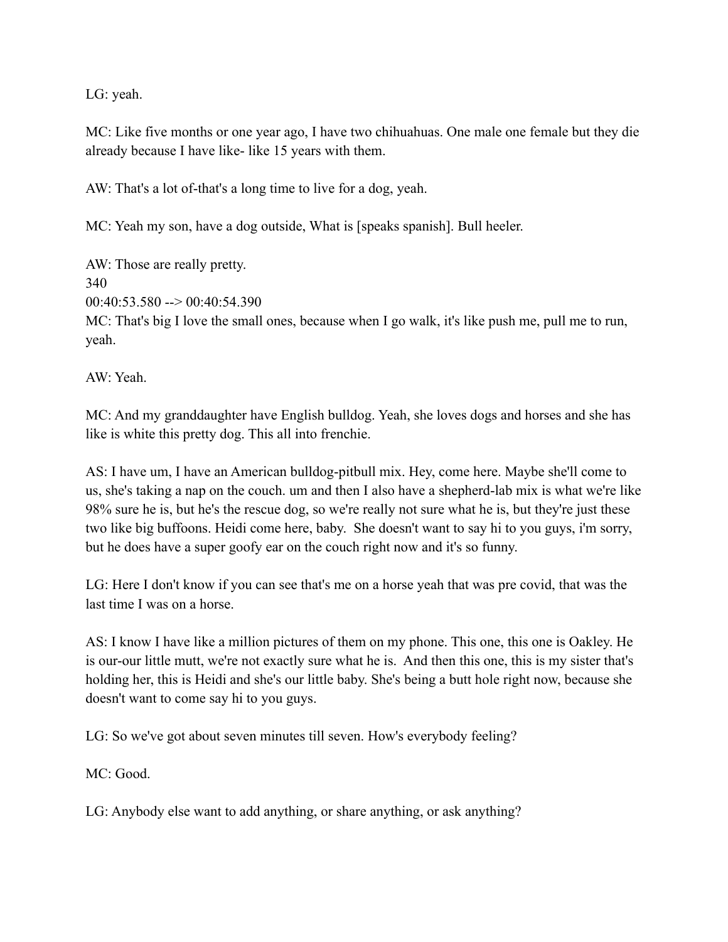LG: yeah.

MC: Like five months or one year ago, I have two chihuahuas. One male one female but they die already because I have like- like 15 years with them.

AW: That's a lot of-that's a long time to live for a dog, yeah.

MC: Yeah my son, have a dog outside, What is [speaks spanish]. Bull heeler.

AW: Those are really pretty. 340  $00:40:53.580 \rightarrow 00:40:54.390$ MC: That's big I love the small ones, because when I go walk, it's like push me, pull me to run, yeah.

AW: Yeah.

MC: And my granddaughter have English bulldog. Yeah, she loves dogs and horses and she has like is white this pretty dog. This all into frenchie.

AS: I have um, I have an American bulldog-pitbull mix. Hey, come here. Maybe she'll come to us, she's taking a nap on the couch. um and then I also have a shepherd-lab mix is what we're like 98% sure he is, but he's the rescue dog, so we're really not sure what he is, but they're just these two like big buffoons. Heidi come here, baby. She doesn't want to say hi to you guys, i'm sorry, but he does have a super goofy ear on the couch right now and it's so funny.

LG: Here I don't know if you can see that's me on a horse yeah that was pre covid, that was the last time I was on a horse.

AS: I know I have like a million pictures of them on my phone. This one, this one is Oakley. He is our-our little mutt, we're not exactly sure what he is. And then this one, this is my sister that's holding her, this is Heidi and she's our little baby. She's being a butt hole right now, because she doesn't want to come say hi to you guys.

LG: So we've got about seven minutes till seven. How's everybody feeling?

MC: Good.

LG: Anybody else want to add anything, or share anything, or ask anything?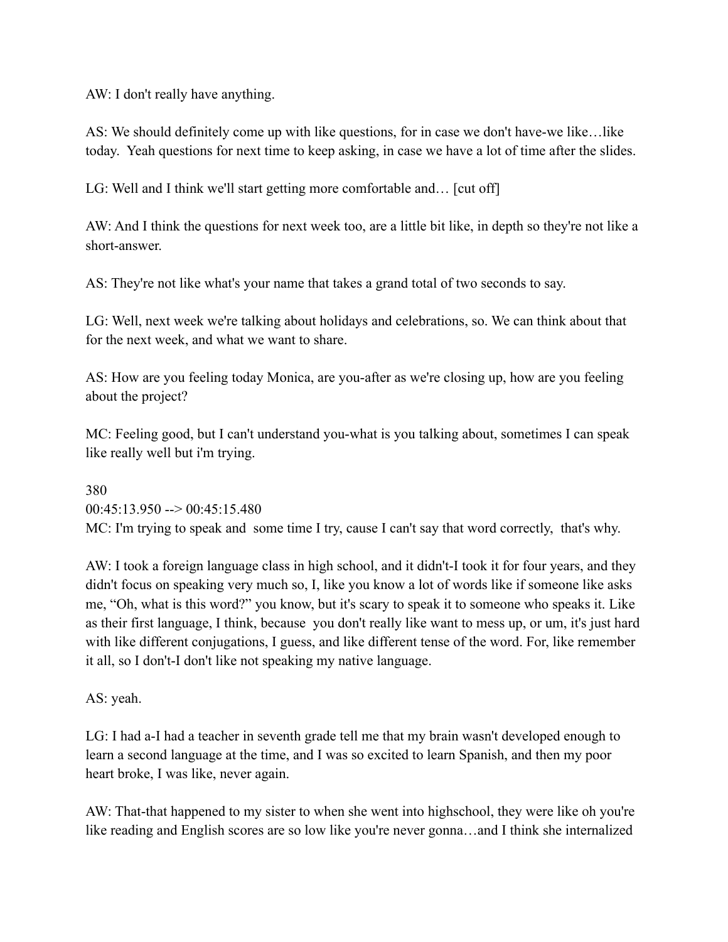AW: I don't really have anything.

AS: We should definitely come up with like questions, for in case we don't have-we like…like today. Yeah questions for next time to keep asking, in case we have a lot of time after the slides.

LG: Well and I think we'll start getting more comfortable and... [cut off]

AW: And I think the questions for next week too, are a little bit like, in depth so they're not like a short-answer.

AS: They're not like what's your name that takes a grand total of two seconds to say.

LG: Well, next week we're talking about holidays and celebrations, so. We can think about that for the next week, and what we want to share.

AS: How are you feeling today Monica, are you-after as we're closing up, how are you feeling about the project?

MC: Feeling good, but I can't understand you-what is you talking about, sometimes I can speak like really well but i'm trying.

380  $0.0:45:13.950 \rightarrow 0.00:45:15.480$ MC: I'm trying to speak and some time I try, cause I can't say that word correctly, that's why.

AW: I took a foreign language class in high school, and it didn't-I took it for four years, and they didn't focus on speaking very much so, I, like you know a lot of words like if someone like asks me, "Oh, what is this word?" you know, but it's scary to speak it to someone who speaks it. Like as their first language, I think, because you don't really like want to mess up, or um, it's just hard with like different conjugations, I guess, and like different tense of the word. For, like remember it all, so I don't-I don't like not speaking my native language.

AS: yeah.

LG: I had a-I had a teacher in seventh grade tell me that my brain wasn't developed enough to learn a second language at the time, and I was so excited to learn Spanish, and then my poor heart broke, I was like, never again.

AW: That-that happened to my sister to when she went into highschool, they were like oh you're like reading and English scores are so low like you're never gonna…and I think she internalized